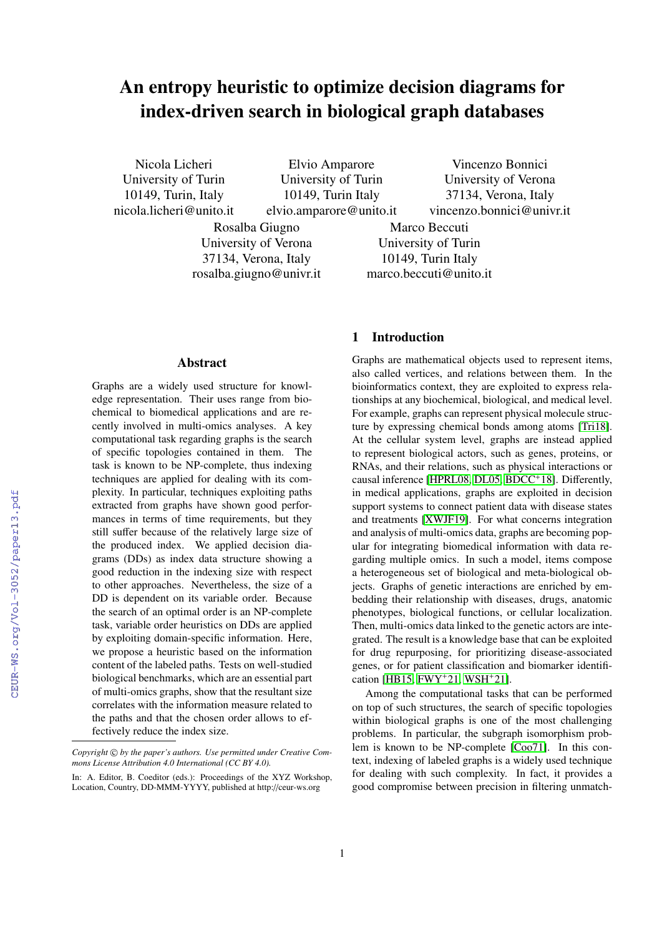# An entropy heuristic to optimize decision diagrams for index-driven search in biological graph databases

Nicola Licheri University of Turin 10149, Turin, Italy nicola.licheri@unito.it

Elvio Amparore University of Turin 10149, Turin Italy elvio.amparore@unito.it

Rosalba Giugno University of Verona 37134, Verona, Italy rosalba.giugno@univr.it

Vincenzo Bonnici University of Verona 37134, Verona, Italy vincenzo.bonnici@univr.it

Marco Beccuti University of Turin 10149, Turin Italy marco.beccuti@unito.it

## Abstract

Graphs are a widely used structure for knowledge representation. Their uses range from biochemical to biomedical applications and are recently involved in multi-omics analyses. A key computational task regarding graphs is the search of specific topologies contained in them. The task is known to be NP-complete, thus indexing techniques are applied for dealing with its complexity. In particular, techniques exploiting paths extracted from graphs have shown good performances in terms of time requirements, but they still suffer because of the relatively large size of the produced index. We applied decision diagrams (DDs) as index data structure showing a good reduction in the indexing size with respect to other approaches. Nevertheless, the size of a DD is dependent on its variable order. Because the search of an optimal order is an NP-complete task, variable order heuristics on DDs are applied by exploiting domain-specific information. Here, we propose a heuristic based on the information content of the labeled paths. Tests on well-studied biological benchmarks, which are an essential part of multi-omics graphs, show that the resultant size correlates with the information measure related to the paths and that the chosen order allows to effectively reduce the index size.

# 1 Introduction

Graphs are mathematical objects used to represent items, also called vertices, and relations between them. In the bioinformatics context, they are exploited to express relationships at any biochemical, biological, and medical level. For example, graphs can represent physical molecule structure by expressing chemical bonds among atoms [\[Tri18\]](#page--1-0). At the cellular system level, graphs are instead applied to represent biological actors, such as genes, proteins, or RNAs, and their relations, such as physical interactions or causal inference [\[HPRL08,](#page--1-1) [DL05,](#page--1-2) [BDCC](#page--1-3)<sup>+</sup>18]. Differently, in medical applications, graphs are exploited in decision support systems to connect patient data with disease states and treatments [\[XWJF19\]](#page--1-4). For what concerns integration and analysis of multi-omics data, graphs are becoming popular for integrating biomedical information with data regarding multiple omics. In such a model, items compose a heterogeneous set of biological and meta-biological objects. Graphs of genetic interactions are enriched by embedding their relationship with diseases, drugs, anatomic phenotypes, biological functions, or cellular localization. Then, multi-omics data linked to the genetic actors are integrated. The result is a knowledge base that can be exploited for drug repurposing, for prioritizing disease-associated genes, or for patient classification and biomarker identification [\[HB15,](#page--1-5) [FWY](#page--1-6)<sup>+</sup>21, [WSH](#page--1-7)<sup>+</sup>21].

Among the computational tasks that can be performed on top of such structures, the search of specific topologies within biological graphs is one of the most challenging problems. In particular, the subgraph isomorphism problem is known to be NP-complete [\[Coo71\]](#page--1-8). In this context, indexing of labeled graphs is a widely used technique for dealing with such complexity. In fact, it provides a good compromise between precision in filtering unmatch-

*Copyright* © *by the paper's authors. Use permitted under Creative Commons License Attribution 4.0 International (CC BY 4.0).*

In: A. Editor, B. Coeditor (eds.): Proceedings of the XYZ Workshop, Location, Country, DD-MMM-YYYY, published at http://ceur-ws.org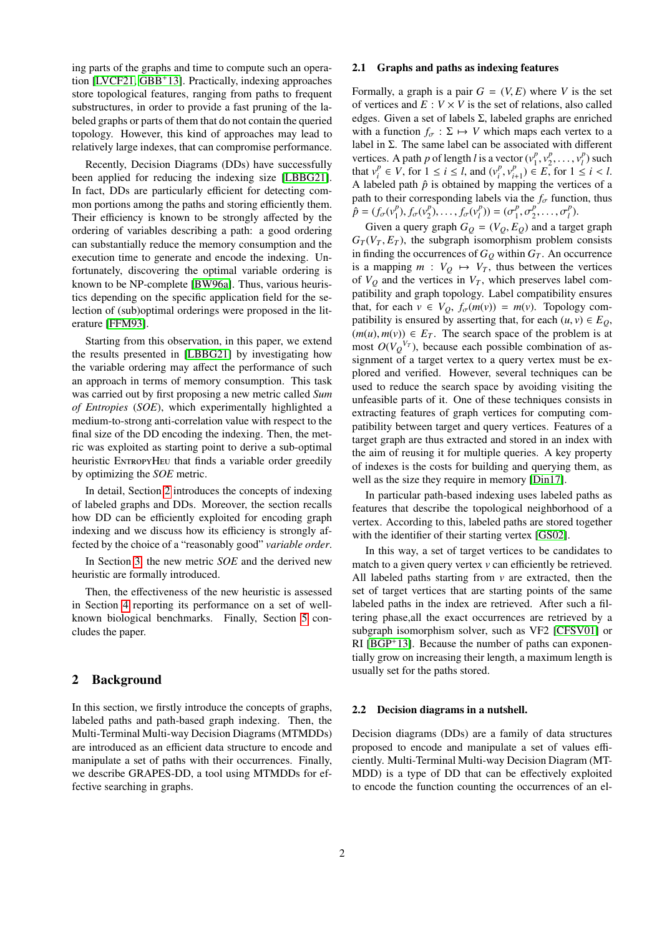ing parts of the graphs and time to compute such an operation [\[LVCF21,](#page-5-0) [GBB](#page-5-1)<sup>+</sup>13]. Practically, indexing approaches store topological features, ranging from paths to frequent substructures, in order to provide a fast pruning of the labeled graphs or parts of them that do not contain the queried topology. However, this kind of approaches may lead to relatively large indexes, that can compromise performance.

Recently, Decision Diagrams (DDs) have successfully been applied for reducing the indexing size [\[LBBG21\]](#page-5-2). In fact, DDs are particularly efficient for detecting common portions among the paths and storing efficiently them. Their efficiency is known to be strongly affected by the ordering of variables describing a path: a good ordering can substantially reduce the memory consumption and the execution time to generate and encode the indexing. Unfortunately, discovering the optimal variable ordering is known to be NP-complete [\[BW96a\]](#page-4-0). Thus, various heuristics depending on the specific application field for the selection of (sub)optimal orderings were proposed in the literature [\[FFM93\]](#page-5-3).

Starting from this observation, in this paper, we extend the results presented in [\[LBBG21\]](#page-5-2) by investigating how the variable ordering may affect the performance of such an approach in terms of memory consumption. This task was carried out by first proposing a new metric called *Sum of Entropies* (*SOE*), which experimentally highlighted a medium-to-strong anti-correlation value with respect to the final size of the DD encoding the indexing. Then, the metric was exploited as starting point to derive a sub-optimal heuristic ENTROPYHEU that finds a variable order greedily by optimizing the *SOE* metric.

In detail, Section [2](#page-1-0) introduces the concepts of indexing of labeled graphs and DDs. Moreover, the section recalls how DD can be efficiently exploited for encoding graph indexing and we discuss how its efficiency is strongly affected by the choice of a "reasonably good" *variable order*.

In Section [3,](#page-2-0) the new metric *SOE* and the derived new heuristic are formally introduced.

Then, the effectiveness of the new heuristic is assessed in Section [4](#page-3-0) reporting its performance on a set of wellknown biological benchmarks. Finally, Section [5](#page-3-1) concludes the paper.

# <span id="page-1-0"></span>2 Background

In this section, we firstly introduce the concepts of graphs, labeled paths and path-based graph indexing. Then, the Multi-Terminal Multi-way Decision Diagrams (MTMDDs) are introduced as an efficient data structure to encode and manipulate a set of paths with their occurrences. Finally, we describe GRAPES-DD, a tool using MTMDDs for effective searching in graphs.

#### 2.1 Graphs and paths as indexing features

Formally, a graph is a pair  $G = (V, E)$  where V is the set of vertices and  $E: V \times V$  is the set of relations, also called edges. Given a set of labels Σ, labeled graphs are enriched with a function  $f_{\sigma} : \Sigma \mapsto V$  which maps each vertex to a label in Σ. The same label can be associated with different vertices. A path *p* of length *l* is a vector  $(v_1^p)$  $\begin{array}{c} \n\sqrt{p} \\ \n\sqrt{p} \\ \n\sqrt{p} \\ \n\sqrt{p} \n\end{array}$  $v_1^p, \ldots, v_l^p$ <br>for  $1 \leq$  $b_l^p$ ) such that  $v_i^p$  $i^p$   $\in V$ , for  $1 \le i \le l$ , and  $(v_i^p)$  $\sum_{i}^{p} v_i^p$  $i_{i+1}^p$ )  $\in E$ , for  $1 \le i \le l$ . A labeled path  $\hat{p}$  is obtained by mapping the vertices of a path to their corresponding labels via the  $f_{\sigma}$  function, thus  $\hat{p} = (f_{\sigma}(v_1^p))$ <sup>*p*</sup><sub>1</sub> $f_{\sigma}(v_2^p)$  $f_2^p$ , ...,  $f_{\sigma}(v_l^p)$  $(\sigma_1^p)$ ) =  $(\sigma_1^p)$ 1 *p* 2 *p*  $\binom{p}{l}$ .

Given a query graph  $G_Q = (V_Q, E_Q)$  and a target graph  $(V_R, F_R)$ , the subgraph isomorphism problem consists  $G_T(V_T, E_T)$ , the subgraph isomorphism problem consists in finding the occurrences of  $G_Q$  within  $G_T$ . An occurrence is a mapping  $m: V_Q \mapsto V_T$ , thus between the vertices of  $V_Q$  and the vertices in  $V_T$ , which preserves label compatibility and graph topology. Label compatibility ensures that, for each  $v \in V_Q$ ,  $f_{\sigma}(m(v)) = m(v)$ . Topology compatibility is ensured by asserting that, for each  $(u, v) \in E_0$ ,  $(m(u), m(v)) \in E_T$ . The search space of the problem is at most  $O(V_Q^{V_T})$ , because each possible combination of assignment of a target vertex to a query vertex must be explored and verified. However, several techniques can be used to reduce the search space by avoiding visiting the unfeasible parts of it. One of these techniques consists in extracting features of graph vertices for computing compatibility between target and query vertices. Features of a target graph are thus extracted and stored in an index with the aim of reusing it for multiple queries. A key property of indexes is the costs for building and querying them, as well as the size they require in memory [\[Din17\]](#page-5-4).

In particular path-based indexing uses labeled paths as features that describe the topological neighborhood of a vertex. According to this, labeled paths are stored together with the identifier of their starting vertex [\[GS02\]](#page-5-5).

In this way, a set of target vertices to be candidates to match to a given query vertex *v* can efficiently be retrieved. All labeled paths starting from *v* are extracted, then the set of target vertices that are starting points of the same labeled paths in the index are retrieved. After such a filtering phase,all the exact occurrences are retrieved by a subgraph isomorphism solver, such as VF2 [\[CFSV01\]](#page-4-1) or  $RI [BGP<sup>+</sup>13]$  $RI [BGP<sup>+</sup>13]$  $RI [BGP<sup>+</sup>13]$ . Because the number of paths can exponentially grow on increasing their length, a maximum length is usually set for the paths stored.

#### 2.2 Decision diagrams in a nutshell.

Decision diagrams (DDs) are a family of data structures proposed to encode and manipulate a set of values efficiently. Multi-Terminal Multi-way Decision Diagram (MT-MDD) is a type of DD that can be effectively exploited to encode the function counting the occurrences of an el-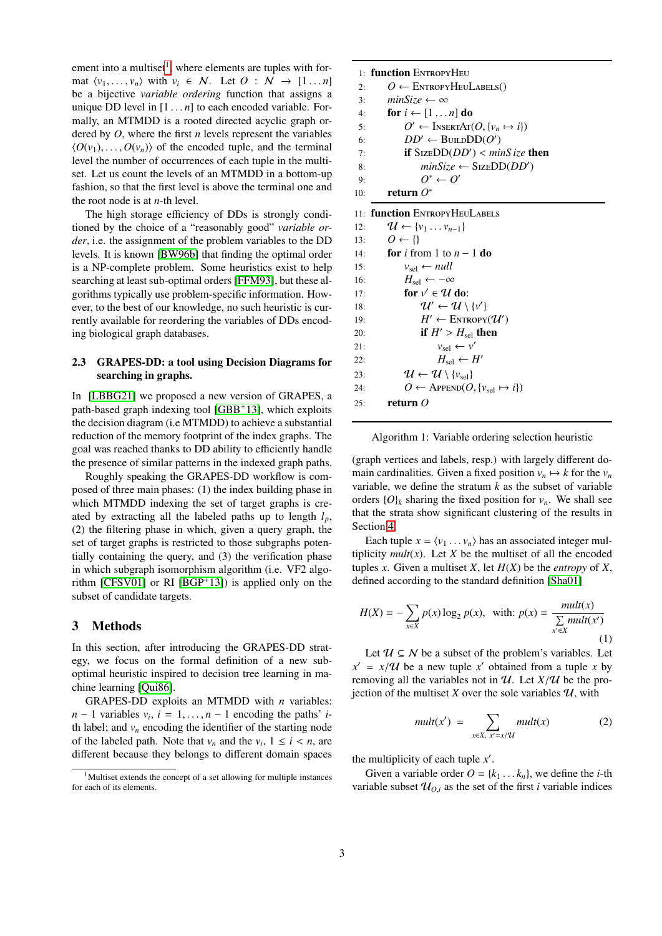ement into a multiset<sup>[1](#page-2-1)</sup>, where elements are tuples with format  $\langle v_1, \ldots, v_n \rangle$  with  $v_i \in \mathcal{N}$ . Let  $\mathcal{O} : \mathcal{N} \to [1 \ldots n]$ be a bijective *variable ordering* function that assigns a unique DD level in  $[1 \dots n]$  to each encoded variable. Formally, an MTMDD is a rooted directed acyclic graph ordered by *O*, where the first *n* levels represent the variables  $\langle O(v_1), \ldots, O(v_n) \rangle$  of the encoded tuple, and the terminal level the number of occurrences of each tuple in the multiset. Let us count the levels of an MTMDD in a bottom-up fashion, so that the first level is above the terminal one and the root node is at *n*-th level.

The high storage efficiency of DDs is strongly conditioned by the choice of a "reasonably good" *variable order*, i.e. the assignment of the problem variables to the DD levels. It is known [\[BW96b\]](#page-4-3) that finding the optimal order is a NP-complete problem. Some heuristics exist to help searching at least sub-optimal orders [\[FFM93\]](#page-5-3), but these algorithms typically use problem-specific information. However, to the best of our knowledge, no such heuristic is currently available for reordering the variables of DDs encoding biological graph databases.

## 2.3 GRAPES-DD: a tool using Decision Diagrams for searching in graphs.

In [\[LBBG21\]](#page-5-2) we proposed a new version of GRAPES, a path-based graph indexing tool [\[GBB](#page-5-1)+13], which exploits the decision diagram (i.e MTMDD) to achieve a substantial reduction of the memory footprint of the index graphs. The goal was reached thanks to DD ability to efficiently handle the presence of similar patterns in the indexed graph paths.

Roughly speaking the GRAPES-DD workflow is composed of three main phases: (1) the index building phase in which MTMDD indexing the set of target graphs is created by extracting all the labeled paths up to length *lp*, (2) the filtering phase in which, given a query graph, the set of target graphs is restricted to those subgraphs potentially containing the query, and (3) the verification phase in which subgraph isomorphism algorithm (i.e. VF2 algorithm [\[CFSV01\]](#page-4-1) or RI [\[BGP](#page-4-2)+13]) is applied only on the subset of candidate targets.

# <span id="page-2-0"></span>3 Methods

In this section, after introducing the GRAPES-DD strategy, we focus on the formal definition of a new suboptimal heuristic inspired to decision tree learning in machine learning [\[Qui86\]](#page-5-6).

GRAPES-DD exploits an MTMDD with *n* variables: *n* − 1 variables  $v_i$ ,  $i = 1, ..., n - 1$  encoding the paths' *i*-<br>th label: and *y* encoding the identifier of the starting node th label; and  $v_n$  encoding the identifier of the starting node of the labeled path. Note that  $v_n$  and the  $v_i$ ,  $1 \le i \le n$ , are different because they belongs to different domain spaces different because they belongs to different domain spaces

<span id="page-2-2"></span>

|          | 1: <b>function</b> EntropyHeu                         |
|----------|-------------------------------------------------------|
| 2.5      | $O \leftarrow$ ENTROPYHEULABELS()                     |
| 3:       | $minSize \leftarrow \infty$                           |
| 4:       | for $i \leftarrow [1 \dots n]$ do                     |
| 5:       | $O' \leftarrow \text{InsertAr}(O, \{v_n \mapsto i\})$ |
| 6:       | $DD' \leftarrow B_{\text{ULD}}DD(O')$                 |
| $7\cdot$ | <b>if</b> SIZEDD( $DD'$ ) < minS ize <b>then</b>      |
| 8:       | $minSize \leftarrow SizeDD(DD')$                      |
| 9:       | $O^* \leftarrow O'$                                   |
| 10۰      | refurn $O^*$                                          |

|     | 11: function ENTROPYHEULABELS                                     |
|-----|-------------------------------------------------------------------|
|     | $\mathcal{U} \leftarrow \{v_1 \dots v_{n-1}\}\$<br>12:            |
|     | 13: $Q \leftarrow \{\}$                                           |
|     | 14: <b>for</b> i from 1 to $n-1$ <b>do</b>                        |
| 15: | $v_{\rm sel} \leftarrow null$                                     |
| 16: | $H_{\rm sel} \leftarrow -\infty$                                  |
| 17: | for $v' \in U$ do:                                                |
| 18: | $\mathcal{U}' \leftarrow \mathcal{U} \setminus \{v'\}$            |
| 19: | $H' \leftarrow \text{ENTROPY}(\mathcal{U}')$                      |
| 20: | if $H' > H_{\rm sel}$ then                                        |
| 21: | $v_{\rm sel} \leftarrow v'$                                       |
| 22: | $H_{\rm sel} \leftarrow H'$                                       |
| 23: | $\mathcal{U} \leftarrow \mathcal{U} \setminus \{v_{\text{sel}}\}$ |
| 24: | $O \leftarrow$ APPEND $(O, \{v_{\text{sel}} \mapsto i\})$         |
| 25: | return $O$                                                        |
|     |                                                                   |



(graph vertices and labels, resp.) with largely different domain cardinalities. Given a fixed position  $v_n \mapsto k$  for the  $v_n$ variable, we define the stratum *k* as the subset of variable orders  $\{O\}_k$  sharing the fixed position for  $v_n$ . We shall see that the strata show significant clustering of the results in Section [4.](#page-3-0)

Each tuple  $x = \langle v_1 \dots v_n \rangle$  has an associated integer multiplicity  $mult(x)$ . Let *X* be the multiset of all the encoded tuples *x*. Given a multiset *X*, let  $H(X)$  be the *entropy* of *X*, defined according to the standard definition [\[Sha01\]](#page-5-7)

<span id="page-2-3"></span>
$$
H(X) = -\sum_{x \in X} p(x) \log_2 p(x), \quad \text{with: } p(x) = \frac{mult(x)}{\sum\limits_{x' \in X} mult(x')}
$$
 (1)

Let  $\mathcal{U} \subseteq \mathcal{N}$  be a subset of the problem's variables. Let  $x' = x/\mathcal{U}$  be a new tuple *x*' obtained from a tuple *x* by<br>removing all the variables not in  $\mathcal{U}$ . Let  $X/\mathcal{U}$  be the proremoving all the variables not in  $\mathcal{U}$ . Let  $X/\mathcal{U}$  be the projection of the multiset *X* over the sole variables  $U$ , with

$$
mult(x') = \sum_{x \in X, x' = x/\mathcal{U}} mult(x) \tag{2}
$$

the multiplicity of each tuple  $x'$ .

Given a variable order  $O = \{k_1 \dots k_n\}$ , we define the *i*-th variable subset  $\mathcal{U}_{0,i}$  as the set of the first *i* variable indices

<span id="page-2-1"></span><sup>&</sup>lt;sup>1</sup>Multiset extends the concept of a set allowing for multiple instances for each of its elements.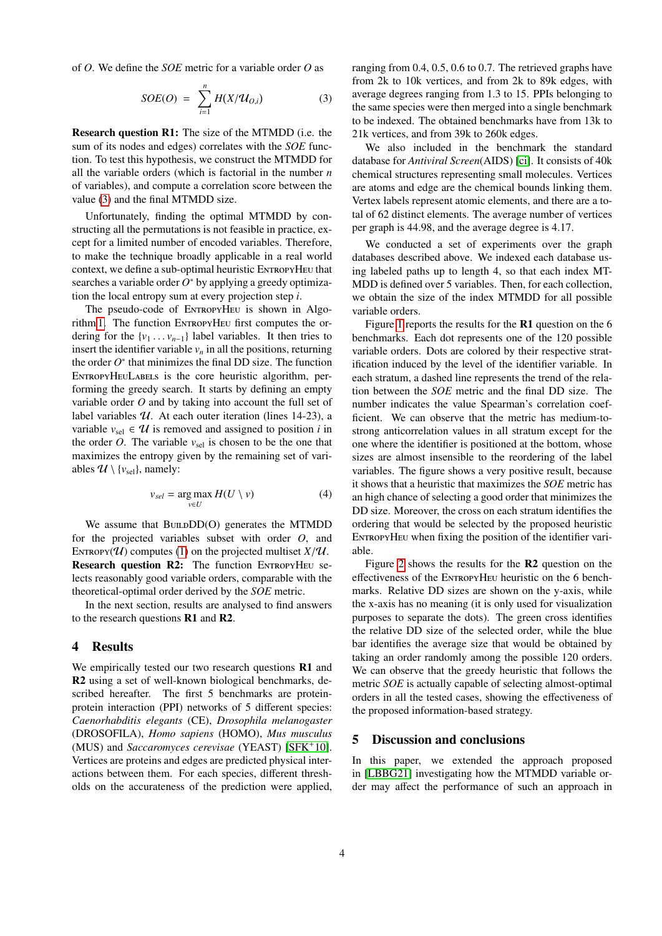of *O*. We define the *SOE* metric for a variable order *O* as

<span id="page-3-2"></span>
$$
SOE(O) = \sum_{i=1}^{n} H(X/\mathcal{U}_{O,i})
$$
 (3)

Research question R1: The size of the MTMDD (i.e. the sum of its nodes and edges) correlates with the *SOE* function. To test this hypothesis, we construct the MTMDD for all the variable orders (which is factorial in the number *n* of variables), and compute a correlation score between the value [\(3\)](#page-3-2) and the final MTMDD size.

Unfortunately, finding the optimal MTMDD by constructing all the permutations is not feasible in practice, except for a limited number of encoded variables. Therefore, to make the technique broadly applicable in a real world context, we define a sub-optimal heuristic ENTROPYHEU that searches a variable order  $O^*$  by applying a greedy optimization the local entropy sum at every projection step *i*.

The pseudo-code of EntropyHeu is shown in Algo-rithm [1.](#page-2-2) The function ENTROPYHEU first computes the ordering for the  $\{v_1 \dots v_{n-1}\}\$  label variables. It then tries to insert the identifier variable  $v_n$  in all the positions, returning the order  $O^*$  that minimizes the final DD size. The function ENTROPYHEULABELS is the core heuristic algorithm, performing the greedy search. It starts by defining an empty variable order *O* and by taking into account the full set of label variables  $U$ . At each outer iteration (lines 14-23), a variable  $v_{\text{sel}} \in \mathcal{U}$  is removed and assigned to position *i* in the order *O*. The variable  $v_{\text{sel}}$  is chosen to be the one that maximizes the entropy given by the remaining set of variables  $\mathcal{U} \setminus \{v_{\text{sel}}\}$ , namely:

$$
v_{sel} = \underset{v \in U}{\arg \max} \, H(U \setminus v) \tag{4}
$$

We assume that  $B$ UILD $DD(O)$  generates the MTMDD for the projected variables subset with order *O*, and ENTROPY( $U$ ) computes [\(1\)](#page-2-3) on the projected multiset  $X/U$ . Research question R2: The function ENTROPYHEU selects reasonably good variable orders, comparable with the theoretical-optimal order derived by the *SOE* metric.

In the next section, results are analysed to find answers to the research questions R1 and R2.

#### <span id="page-3-0"></span>4 Results

We empirically tested our two research questions **R1** and R2 using a set of well-known biological benchmarks, described hereafter. The first 5 benchmarks are proteinprotein interaction (PPI) networks of 5 different species: *Caenorhabditis elegants* (CE), *Drosophila melanogaster* (DROSOFILA), *Homo sapiens* (HOMO), *Mus musculus* (MUS) and *Saccaromyces cerevisae* (YEAST) [\[SFK](#page-5-8)<sup>+</sup>10]. Vertices are proteins and edges are predicted physical interactions between them. For each species, different thresholds on the accurateness of the prediction were applied, ranging from 0.4, 0.5, 0.6 to 0.7. The retrieved graphs have from 2k to 10k vertices, and from 2k to 89k edges, with average degrees ranging from 1.3 to 15. PPIs belonging to the same species were then merged into a single benchmark to be indexed. The obtained benchmarks have from 13k to 21k vertices, and from 39k to 260k edges.

We also included in the benchmark the standard database for *Antiviral Screen*(AIDS) [\[ci\]](#page-4-4). It consists of 40k chemical structures representing small molecules. Vertices are atoms and edge are the chemical bounds linking them. Vertex labels represent atomic elements, and there are a total of 62 distinct elements. The average number of vertices per graph is 44.98, and the average degree is 4.17.

We conducted a set of experiments over the graph databases described above. We indexed each database using labeled paths up to length 4, so that each index MT-MDD is defined over 5 variables. Then, for each collection, we obtain the size of the index MTMDD for all possible variable orders.

Figure [1](#page-4-5) reports the results for the R1 question on the 6 benchmarks. Each dot represents one of the 120 possible variable orders. Dots are colored by their respective stratification induced by the level of the identifier variable. In each stratum, a dashed line represents the trend of the relation between the *SOE* metric and the final DD size. The number indicates the value Spearman's correlation coefficient. We can observe that the metric has medium-tostrong anticorrelation values in all stratum except for the one where the identifier is positioned at the bottom, whose sizes are almost insensible to the reordering of the label variables. The figure shows a very positive result, because it shows that a heuristic that maximizes the *SOE* metric has an high chance of selecting a good order that minimizes the DD size. Moreover, the cross on each stratum identifies the ordering that would be selected by the proposed heuristic ENTROPYHEU when fixing the position of the identifier variable.

Figure [2](#page-4-6) shows the results for the  $\mathbb{R}^2$  question on the effectiveness of the EntropyHeu heuristic on the 6 benchmarks. Relative DD sizes are shown on the y-axis, while the x-axis has no meaning (it is only used for visualization purposes to separate the dots). The green cross identifies the relative DD size of the selected order, while the blue bar identifies the average size that would be obtained by taking an order randomly among the possible 120 orders. We can observe that the greedy heuristic that follows the metric *SOE* is actually capable of selecting almost-optimal orders in all the tested cases, showing the effectiveness of the proposed information-based strategy.

#### <span id="page-3-1"></span>5 Discussion and conclusions

In this paper, we extended the approach proposed in [\[LBBG21\]](#page-5-2) investigating how the MTMDD variable order may affect the performance of such an approach in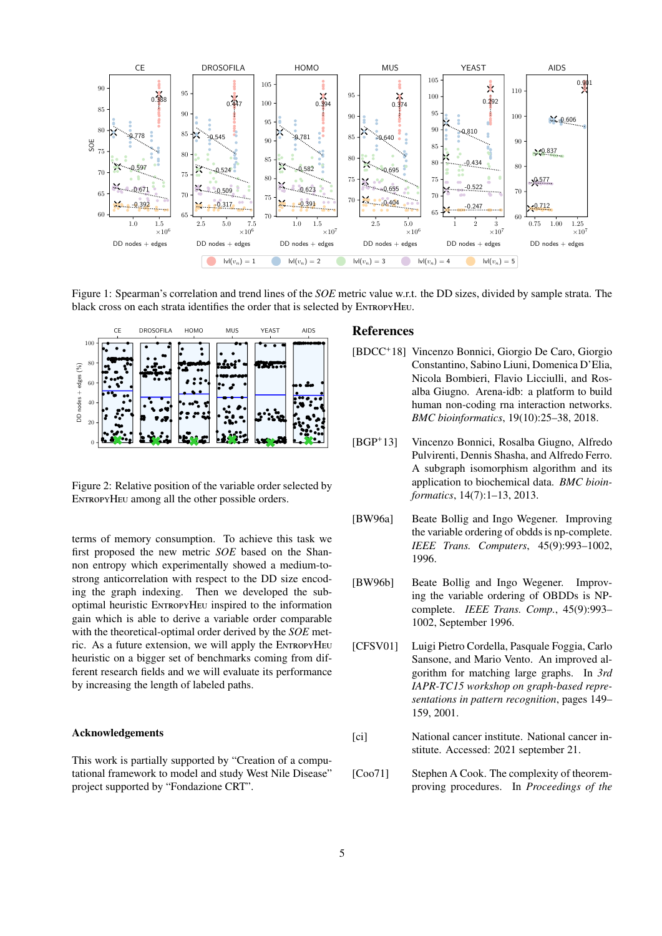

Figure 1: Spearman's correlation and trend lines of the *SOE* metric value w.r.t. the DD sizes, divided by sample strata. The black cross on each strata identifies the order that is selected by ENTROPYHEU.



<span id="page-4-6"></span>Figure 2: Relative position of the variable order selected by ENTROPYHEU among all the other possible orders.

terms of memory consumption. To achieve this task we first proposed the new metric *SOE* based on the Shannon entropy which experimentally showed a medium-tostrong anticorrelation with respect to the DD size encoding the graph indexing. Then we developed the suboptimal heuristic EntropyHeu inspired to the information gain which is able to derive a variable order comparable with the theoretical-optimal order derived by the *SOE* metric. As a future extension, we will apply the EntropyHeu heuristic on a bigger set of benchmarks coming from different research fields and we will evaluate its performance by increasing the length of labeled paths.

#### Acknowledgements

This work is partially supported by "Creation of a computational framework to model and study West Nile Disease" project supported by "Fondazione CRT".

# <span id="page-4-5"></span>References

- [BDCC<sup>+</sup>18] Vincenzo Bonnici, Giorgio De Caro, Giorgio Constantino, Sabino Liuni, Domenica D'Elia, Nicola Bombieri, Flavio Licciulli, and Rosalba Giugno. Arena-idb: a platform to build human non-coding rna interaction networks. *BMC bioinformatics*, 19(10):25–38, 2018.
- <span id="page-4-2"></span>[BGP+13] Vincenzo Bonnici, Rosalba Giugno, Alfredo Pulvirenti, Dennis Shasha, and Alfredo Ferro. A subgraph isomorphism algorithm and its application to biochemical data. *BMC bioinformatics*, 14(7):1–13, 2013.
- <span id="page-4-0"></span>[BW96a] Beate Bollig and Ingo Wegener. Improving the variable ordering of obdds is np-complete. *IEEE Trans. Computers*, 45(9):993–1002, 1996.
- <span id="page-4-3"></span>[BW96b] Beate Bollig and Ingo Wegener. Improving the variable ordering of OBDDs is NPcomplete. *IEEE Trans. Comp.*, 45(9):993– 1002, September 1996.
- <span id="page-4-1"></span>[CFSV01] Luigi Pietro Cordella, Pasquale Foggia, Carlo Sansone, and Mario Vento. An improved algorithm for matching large graphs. In *3rd IAPR-TC15 workshop on graph-based representations in pattern recognition*, pages 149– 159, 2001.
- <span id="page-4-4"></span>[ci] National cancer institute. National cancer institute. Accessed: 2021 september 21.
- [Coo71] Stephen A Cook. The complexity of theoremproving procedures. In *Proceedings of the*